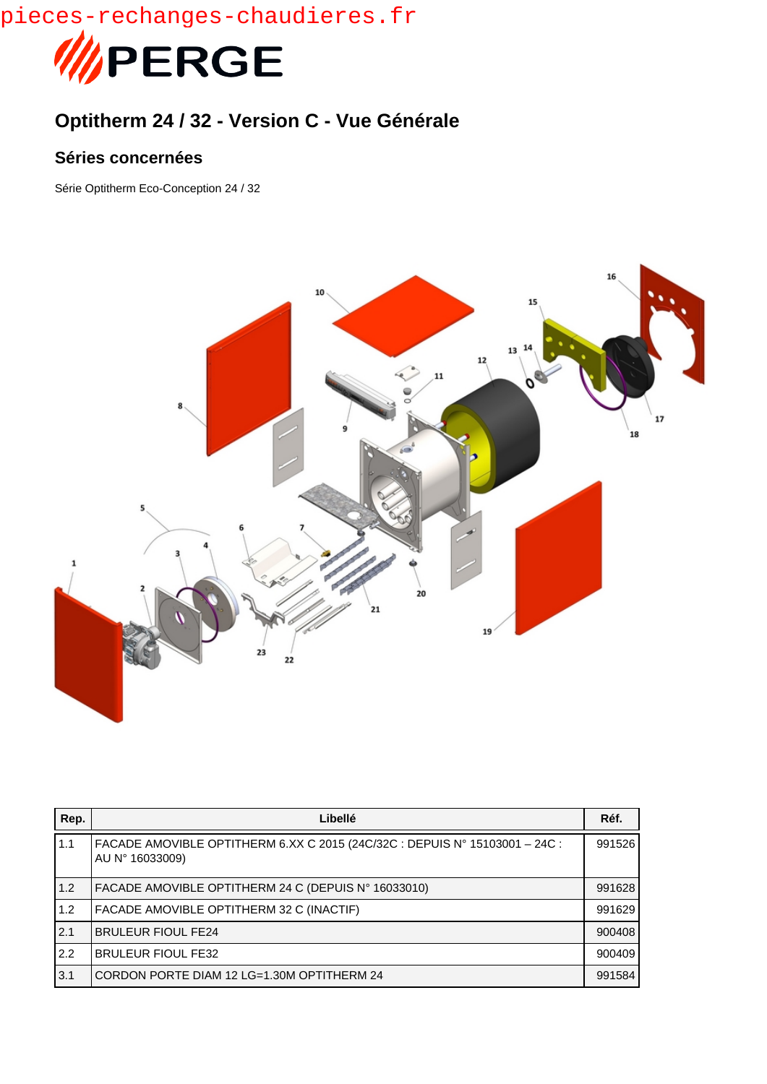pieces-rechanges-chaudieres.fr



## **Optitherm 24 / 32 - Version C - Vue Générale**

## **Séries concernées**

Série Optitherm Eco-Conception 24 / 32



| Rep.  | Libellé                                                                                        | Réf.   |
|-------|------------------------------------------------------------------------------------------------|--------|
| 1.1   | FACADE AMOVIBLE OPTITHERM 6.XX C 2015 (24C/32C : DEPUIS N° 15103001 - 24C :<br>AU N° 16033009) | 991526 |
| 1.2   | FACADE AMOVIBLE OPTITHERM 24 C (DEPUIS N° 16033010)                                            | 991628 |
| 1.2   | FACADE AMOVIBLE OPTITHERM 32 C (INACTIF)                                                       | 991629 |
| 2.1   | <b>BRULEUR FIOUL FE24</b>                                                                      | 900408 |
| $2.2$ | <b>BRULEUR FIOUL FE32</b>                                                                      | 900409 |
| 3.1   | CORDON PORTE DIAM 12 LG=1.30M OPTITHERM 24                                                     | 991584 |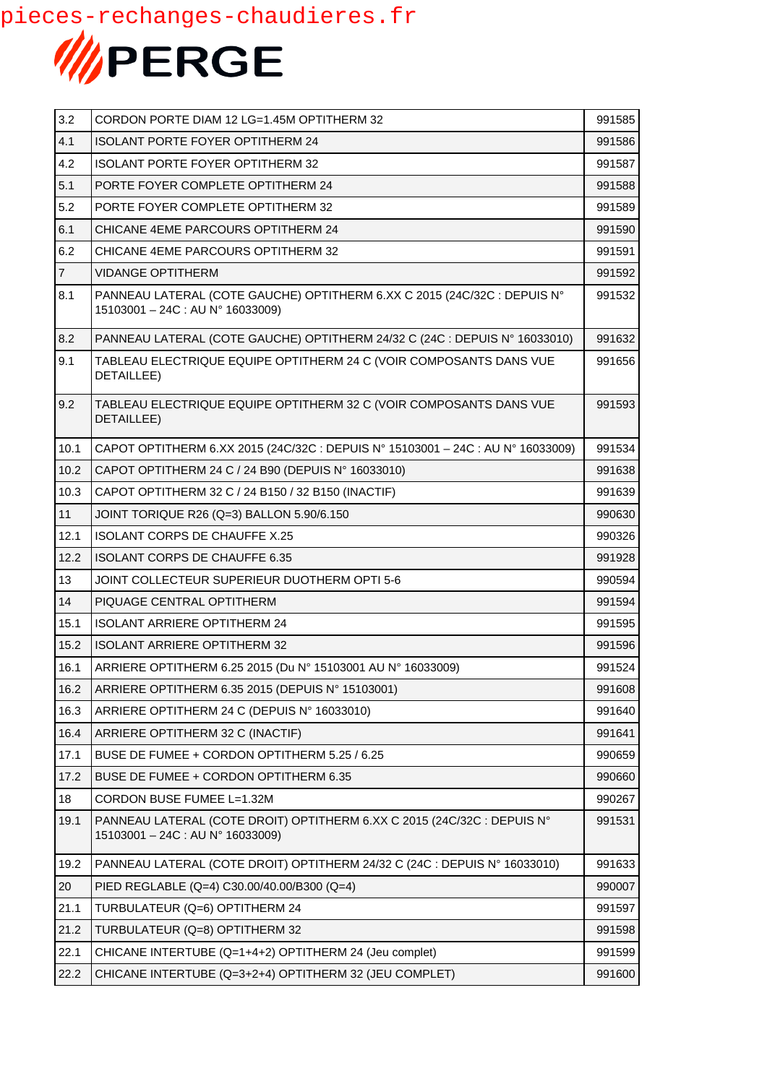

| 3.2            | CORDON PORTE DIAM 12 LG=1.45M OPTITHERM 32                                                                     | 991585 |
|----------------|----------------------------------------------------------------------------------------------------------------|--------|
| 4.1            | <b>ISOLANT PORTE FOYER OPTITHERM 24</b>                                                                        | 991586 |
| 4.2            | <b>ISOLANT PORTE FOYER OPTITHERM 32</b>                                                                        | 991587 |
| 5.1            | PORTE FOYER COMPLETE OPTITHERM 24                                                                              | 991588 |
| 5.2            | PORTE FOYER COMPLETE OPTITHERM 32                                                                              | 991589 |
| 6.1            | CHICANE 4EME PARCOURS OPTITHERM 24                                                                             | 991590 |
| 6.2            | CHICANE 4EME PARCOURS OPTITHERM 32                                                                             | 991591 |
| $\overline{7}$ | <b>VIDANGE OPTITHERM</b>                                                                                       | 991592 |
| 8.1            | PANNEAU LATERAL (COTE GAUCHE) OPTITHERM 6.XX C 2015 (24C/32C : DEPUIS N°<br>$15103001 - 24C$ : AU N° 16033009) | 991532 |
| 8.2            | PANNEAU LATERAL (COTE GAUCHE) OPTITHERM 24/32 C (24C : DEPUIS N° 16033010)                                     | 991632 |
| 9.1            | TABLEAU ELECTRIQUE EQUIPE OPTITHERM 24 C (VOIR COMPOSANTS DANS VUE<br>DETAILLEE)                               | 991656 |
| 9.2            | TABLEAU ELECTRIQUE EQUIPE OPTITHERM 32 C (VOIR COMPOSANTS DANS VUE<br>DETAILLEE)                               | 991593 |
| 10.1           | CAPOT OPTITHERM 6.XX 2015 (24C/32C : DEPUIS N° 15103001 - 24C : AU N° 16033009)                                | 991534 |
| 10.2           | CAPOT OPTITHERM 24 C / 24 B90 (DEPUIS N° 16033010)                                                             | 991638 |
| 10.3           | CAPOT OPTITHERM 32 C / 24 B150 / 32 B150 (INACTIF)                                                             | 991639 |
| 11             | JOINT TORIQUE R26 (Q=3) BALLON 5.90/6.150                                                                      | 990630 |
| 12.1           | <b>ISOLANT CORPS DE CHAUFFE X.25</b>                                                                           | 990326 |
| 12.2           | <b>ISOLANT CORPS DE CHAUFFE 6.35</b>                                                                           | 991928 |
| 13             | JOINT COLLECTEUR SUPERIEUR DUOTHERM OPTI 5-6                                                                   | 990594 |
| 14             | PIQUAGE CENTRAL OPTITHERM                                                                                      | 991594 |
| 15.1           | <b>ISOLANT ARRIERE OPTITHERM 24</b>                                                                            | 991595 |
| 15.2           | <b>ISOLANT ARRIERE OPTITHERM 32</b>                                                                            | 991596 |
| 16.1           | ARRIERE OPTITHERM 6.25 2015 (Du N° 15103001 AU N° 16033009)                                                    | 991524 |
| 16.2           | ARRIERE OPTITHERM 6.35 2015 (DEPUIS N° 15103001)                                                               | 991608 |
| 16.3           | ARRIERE OPTITHERM 24 C (DEPUIS N° 16033010)                                                                    | 991640 |
| 16.4           | ARRIERE OPTITHERM 32 C (INACTIF)                                                                               | 991641 |
| 17.1           | BUSE DE FUMEE + CORDON OPTITHERM 5.25 / 6.25                                                                   | 990659 |
| 17.2           | BUSE DE FUMEE + CORDON OPTITHERM 6.35                                                                          | 990660 |
| 18             | CORDON BUSE FUMEE L=1.32M                                                                                      | 990267 |
| 19.1           | PANNEAU LATERAL (COTE DROIT) OPTITHERM 6.XX C 2015 (24C/32C : DEPUIS N°<br>15103001 - 24C : AU N° 16033009)    | 991531 |
| 19.2           | PANNEAU LATERAL (COTE DROIT) OPTITHERM 24/32 C (24C : DEPUIS N° 16033010)                                      | 991633 |
| 20             | PIED REGLABLE (Q=4) C30.00/40.00/B300 (Q=4)                                                                    | 990007 |
| 21.1           | TURBULATEUR (Q=6) OPTITHERM 24                                                                                 | 991597 |
| 21.2           | TURBULATEUR (Q=8) OPTITHERM 32                                                                                 | 991598 |
| 22.1           | CHICANE INTERTUBE (Q=1+4+2) OPTITHERM 24 (Jeu complet)                                                         | 991599 |
| 22.2           | CHICANE INTERTUBE (Q=3+2+4) OPTITHERM 32 (JEU COMPLET)                                                         | 991600 |